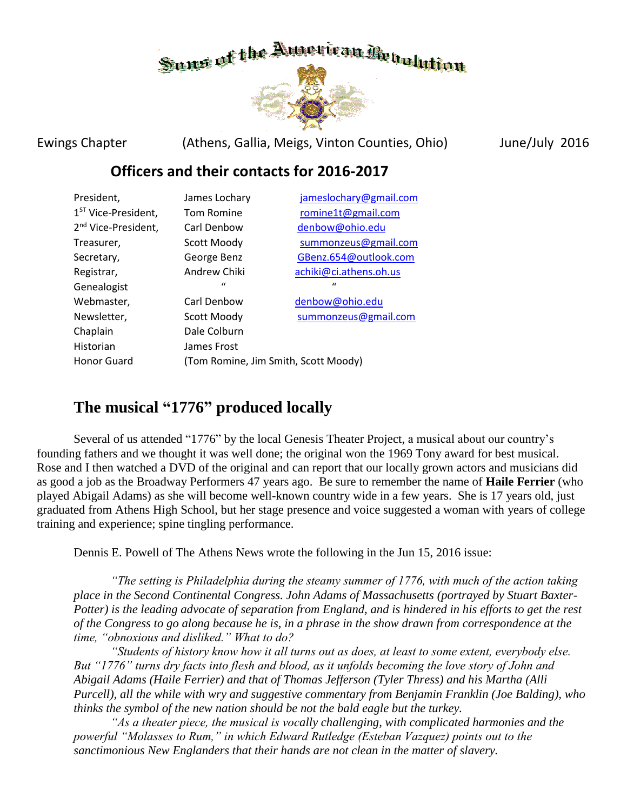

Ewings Chapter (Athens, Gallia, Meigs, Vinton Counties, Ohio) June/July 2016

## **Officers and their contacts for 2016-2017**

| President,                      | James Lochary | jameslochary@gmail.com |
|---------------------------------|---------------|------------------------|
| 1 <sup>ST</sup> Vice-President, | Tom Romine    | romine1t@gmail.com     |
| 2 <sup>nd</sup> Vice-President, | Carl Denbow   | denbow@ohio.edu        |
| Treasurer,                      | Scott Moody   | summonzeus@gmail.com   |
| Secretary,                      | George Benz   | GBenz.654@outlook.com  |
| Registrar,                      | Andrew Chiki  | achiki@ci.athens.oh.us |
| Genealogist                     | $\mathbf{u}$  | $\mathbf{u}$           |
| Webmaster,                      | Carl Denbow   | denbow@ohio.edu        |
| Newsletter,                     | Scott Moody   | summonzeus@gmail.com   |
| Chaplain                        | Dale Colburn  |                        |
|                                 |               |                        |
| Historian                       | James Frost   |                        |

# **The musical "1776" produced locally**

Several of us attended "1776" by the local Genesis Theater Project, a musical about our country's founding fathers and we thought it was well done; the original won the 1969 Tony award for best musical. Rose and I then watched a DVD of the original and can report that our locally grown actors and musicians did as good a job as the Broadway Performers 47 years ago. Be sure to remember the name of **Haile Ferrier** (who played Abigail Adams) as she will become well-known country wide in a few years. She is 17 years old, just graduated from Athens High School, but her stage presence and voice suggested a woman with years of college training and experience; spine tingling performance.

Dennis E. Powell of The Athens News wrote the following in the Jun 15, 2016 issue:

*"The setting is Philadelphia during the steamy summer of 1776, with much of the action taking place in the Second Continental Congress. John Adams of Massachusetts (portrayed by Stuart Baxter-Potter) is the leading advocate of separation from England, and is hindered in his efforts to get the rest of the Congress to go along because he is, in a phrase in the show drawn from correspondence at the time, "obnoxious and disliked." What to do?*

*"Students of history know how it all turns out as does, at least to some extent, everybody else. But "1776" turns dry facts into flesh and blood, as it unfolds becoming the love story of John and Abigail Adams (Haile Ferrier) and that of Thomas Jefferson (Tyler Thress) and his Martha (Alli Purcell), all the while with wry and suggestive commentary from Benjamin Franklin (Joe Balding), who thinks the symbol of the new nation should be not the bald eagle but the turkey.*

*"As a theater piece, the musical is vocally challenging, with complicated harmonies and the powerful "Molasses to Rum," in which Edward Rutledge (Esteban Vazquez) points out to the sanctimonious New Englanders that their hands are not clean in the matter of slavery.*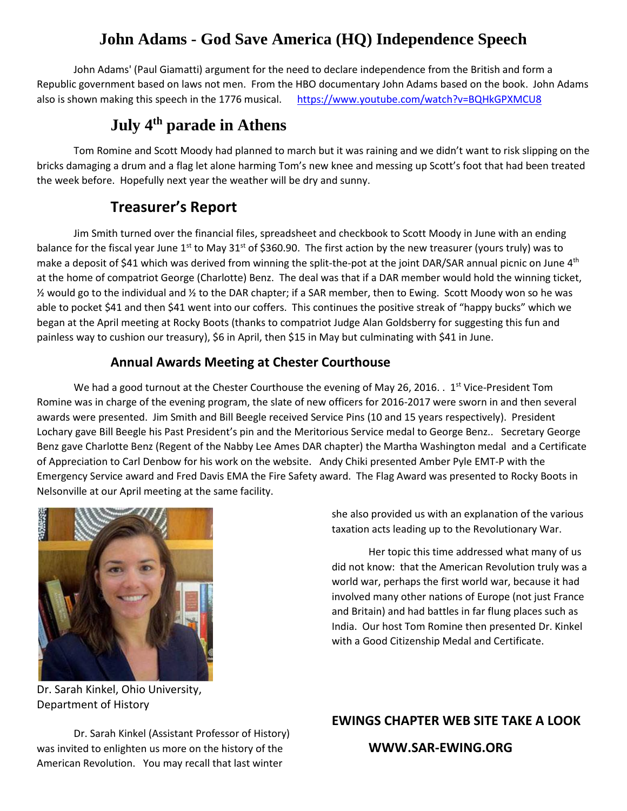# **John Adams - God Save America (HQ) Independence Speech**

John Adams' (Paul Giamatti) argument for the need to declare independence from the British and form a Republic government based on laws not men. From the HBO documentary John Adams based on the book. John Adams also is shown making this speech in the 1776 musical. <https://www.youtube.com/watch?v=BQHkGPXMCU8>

# **July 4th parade in Athens**

Tom Romine and Scott Moody had planned to march but it was raining and we didn't want to risk slipping on the bricks damaging a drum and a flag let alone harming Tom's new knee and messing up Scott's foot that had been treated the week before. Hopefully next year the weather will be dry and sunny.

## **Treasurer's Report**

Jim Smith turned over the financial files, spreadsheet and checkbook to Scott Moody in June with an ending balance for the fiscal year June 1<sup>st</sup> to May 31<sup>st</sup> of \$360.90. The first action by the new treasurer (yours truly) was to make a deposit of \$41 which was derived from winning the split-the-pot at the joint DAR/SAR annual picnic on June  $4<sup>th</sup>$ at the home of compatriot George (Charlotte) Benz. The deal was that if a DAR member would hold the winning ticket, ½ would go to the individual and ½ to the DAR chapter; if a SAR member, then to Ewing. Scott Moody won so he was able to pocket \$41 and then \$41 went into our coffers. This continues the positive streak of "happy bucks" which we began at the April meeting at Rocky Boots (thanks to compatriot Judge Alan Goldsberry for suggesting this fun and painless way to cushion our treasury), \$6 in April, then \$15 in May but culminating with \$41 in June.

## **Annual Awards Meeting at Chester Courthouse**

We had a good turnout at the Chester Courthouse the evening of May 26, 2016. .  $1^{st}$  Vice-President Tom Romine was in charge of the evening program, the slate of new officers for 2016-2017 were sworn in and then several awards were presented. Jim Smith and Bill Beegle received Service Pins (10 and 15 years respectively). President Lochary gave Bill Beegle his Past President's pin and the Meritorious Service medal to George Benz.. Secretary George Benz gave Charlotte Benz (Regent of the Nabby Lee Ames DAR chapter) the Martha Washington medal and a Certificate of Appreciation to Carl Denbow for his work on the website. Andy Chiki presented Amber Pyle EMT-P with the Emergency Service award and Fred Davis EMA the Fire Safety award. The Flag Award was presented to Rocky Boots in Nelsonville at our April meeting at the same facility.



Dr. Sarah Kinkel, Ohio University, Department of History

she also provided us with an explanation of the various taxation acts leading up to the Revolutionary War.

Her topic this time addressed what many of us did not know: that the American Revolution truly was a world war, perhaps the first world war, because it had involved many other nations of Europe (not just France and Britain) and had battles in far flung places such as India. Our host Tom Romine then presented Dr. Kinkel with a Good Citizenship Medal and Certificate.

Dr. Sarah Kinkel (Assistant Professor of History) was invited to enlighten us more on the history of the American Revolution. You may recall that last winter

## **EWINGS CHAPTER WEB SITE TAKE A LOOK**

## **WWW.SAR-EWING.ORG**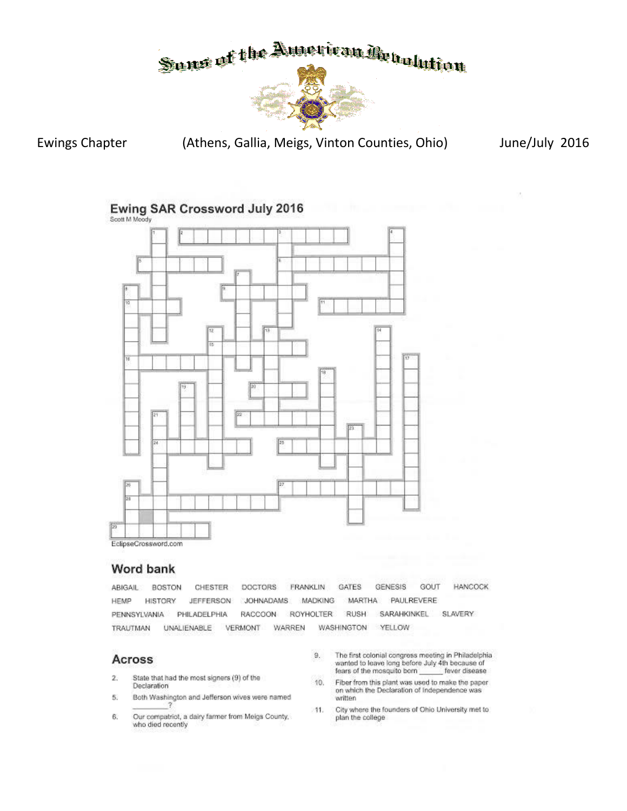

**Ewings Chapter** 

(Athens, Gallia, Meigs, Vinton Counties, Ohio)

June/July 2016

Ewing SAR Crossword July 2016



### Word bank

**DOCTORS** FRANKLIN GATES **GENESIS** GOUT **HANCOCK** ABIGAIL BOSTON CHESTER HEMP **HISTORY JEFFERSON** JOHNADAMS MADKING MARTHA PAULREVERE PENNSYLVANIA PHILADELPHIA RACCOON ROYHOLTER RUSH SARAHKINKEL SLAVERY TRAUTMAN UNALIENABLE VERMONT WARREN WASHINGTON YELLOW

#### Across

- $\mathbf{2}$ State that had the most signers (9) of the Declaration
- Both Washington and Jefferson wives were named 5.
- Our compatriot, a dairy farmer from Meigs County, 6. who died recently
- The first colonial congress meeting in Philadelphia<br>wanted to leave long before July 4th because of 9. fears of the mosquito born fever disease
- 10. Fiber from this plant was used to make the paper on which the Declaration of Independence was written
- City where the founders of Ohio University met to -11. plan the college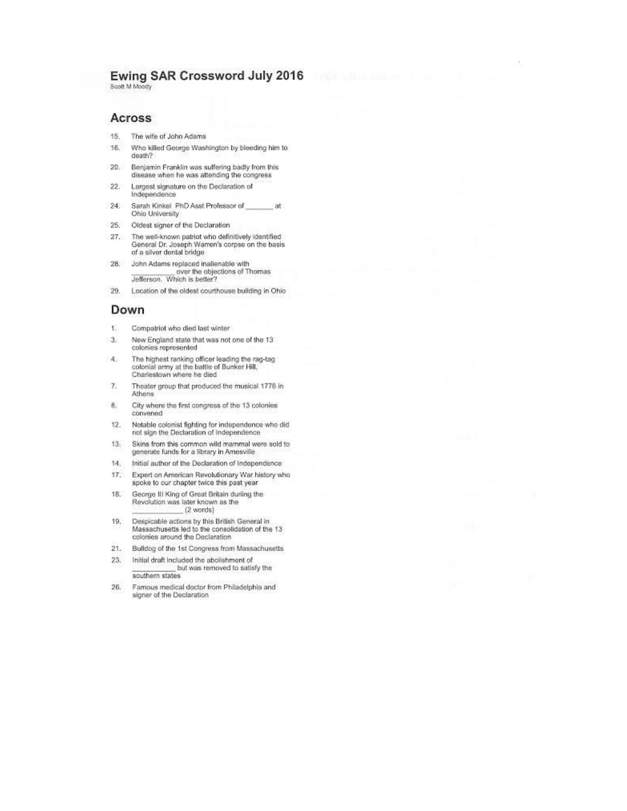## Ewing SAR Crossword July 2016

Scott M Moody

#### Across

- 15. The wife of John Adams
- 16. Who killed George Washington by bleeding him to death?
- $20.$ Benjamin Franklin was suffering badly from this disease when he was attending the congress
- $22.$ Largest signature on the Declaration of Independence
- Sarah Kinkel PhD Asst Professor of  $24.$ at Ohio University
- 25. Oldest signer of the Declaration
- The well-known patriot who definitively identified<br>General Dr. Joseph Warren's corpse on the basis<br>of a silver dental bridge 27.
- 28. John Adams replaced inalienable with<br>over the objections of Thomas<br>Jefferson. Which is better?
- $29.$ Location of the oldest courthouse building in Ohio

#### Down

- 13 Compatriot who died last winter
- New England state that was not one of the 13  $3.5$ colonies represented
- The highest ranking officer leading the rag-tag 4. colonial army at the battle of Bunker Hill,<br>Charlestown where he died
- $7.$ Theater group that produced the musical 1776 in Athens
- 8. City where the first congress of the 13 colonies convened
- Notable colonist fighting for independence who did  $12.$ not sign the Declaration of Independence
- $13.$ Skins from this common wild mammal were sold to generate funds for a library in Amesville
- 14. Initial author of the Declaration of Independence
- $17.$ Expert on American Revolutionary War history who spoke to our chapter twice this past year
- George III King of Great Britain during the 18. Revolution was later known as the  $(2$  words)
- 19. Despicable actions by this British General in Massachusetts led to the consolidation of the 13 colonies around the Declaration
- $21.$ Bulldog of the 1st Congress from Massachusetts
- $23.$ Initial draft included the abolishment of but was removed to satisfy the southern states
- $26.$ Famous medical doctor from Philadelphia and signer of the Declaration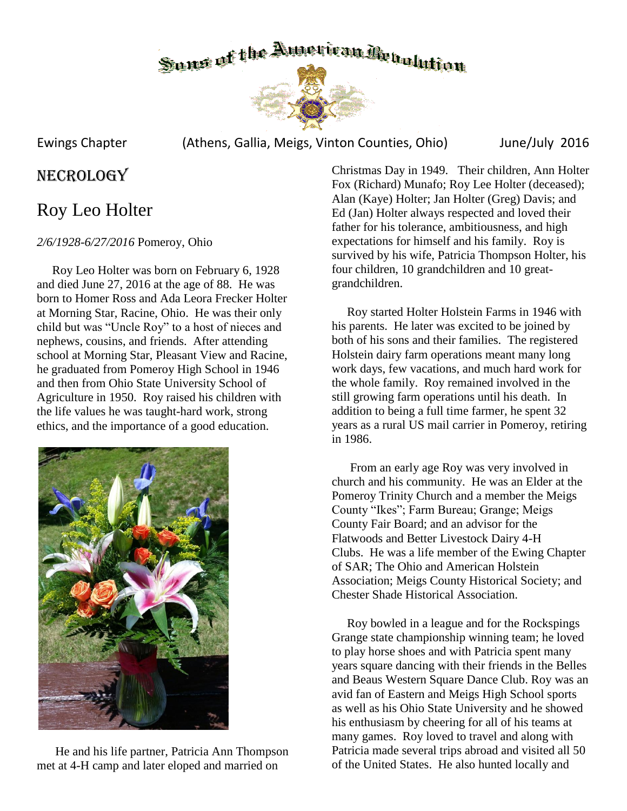

Ewings Chapter (Athens, Gallia, Meigs, Vinton Counties, Ohio) June/July 2016

## NECROLOGY

# Roy Leo Holter

## *2/6/1928-6/27/2016* Pomeroy, Ohio

 Roy Leo Holter was born on February 6, 1928 and died June 27, 2016 at the age of 88. He was born to Homer Ross and Ada Leora Frecker Holter at Morning Star, Racine, Ohio. He was their only child but was "Uncle Roy" to a host of nieces and nephews, cousins, and friends. After attending school at Morning Star, Pleasant View and Racine, he graduated from Pomeroy High School in 1946 and then from Ohio State University School of Agriculture in 1950. Roy raised his children with the life values he was taught-hard work, strong ethics, and the importance of a good education.



 He and his life partner, Patricia Ann Thompson met at 4-H camp and later eloped and married on

Christmas Day in 1949. Their children, Ann Holter Fox (Richard) Munafo; Roy Lee Holter (deceased); Alan (Kaye) Holter; Jan Holter (Greg) Davis; and Ed (Jan) Holter always respected and loved their father for his tolerance, ambitiousness, and high expectations for himself and his family. Roy is survived by his wife, Patricia Thompson Holter, his four children, 10 grandchildren and 10 greatgrandchildren.

 Roy started Holter Holstein Farms in 1946 with his parents. He later was excited to be joined by both of his sons and their families. The registered Holstein dairy farm operations meant many long work days, few vacations, and much hard work for the whole family. Roy remained involved in the still growing farm operations until his death. In addition to being a full time farmer, he spent 32 years as a rural US mail carrier in Pomeroy, retiring in 1986.

 From an early age Roy was very involved in church and his community. He was an Elder at the Pomeroy Trinity Church and a member the Meigs County "Ikes"; Farm Bureau; Grange; Meigs County Fair Board; and an advisor for the Flatwoods and Better Livestock Dairy 4-H Clubs. He was a life member of the Ewing Chapter of SAR; The Ohio and American Holstein Association; Meigs County Historical Society; and Chester Shade Historical Association.

 Roy bowled in a league and for the Rockspings Grange state championship winning team; he loved to play horse shoes and with Patricia spent many years square dancing with their friends in the Belles and Beaus Western Square Dance Club. Roy was an avid fan of Eastern and Meigs High School sports as well as his Ohio State University and he showed his enthusiasm by cheering for all of his teams at many games. Roy loved to travel and along with Patricia made several trips abroad and visited all 50 of the United States. He also hunted locally and